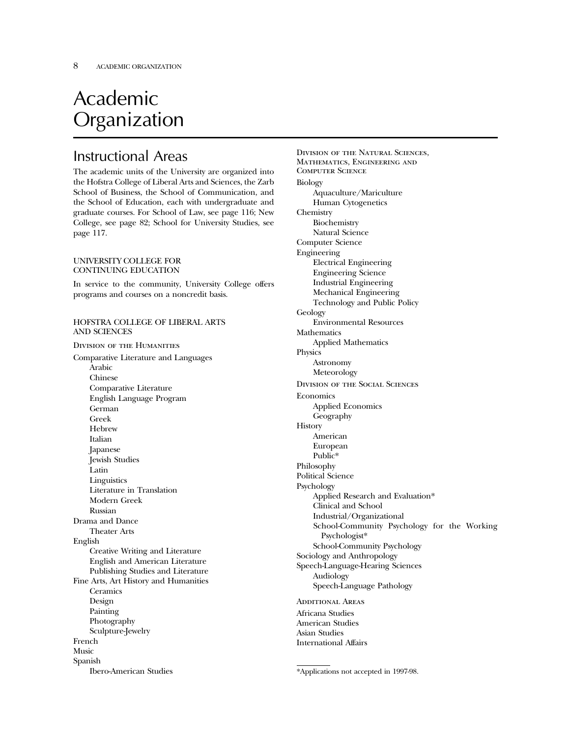# Academic Organization

## Instructional Areas

The academic units of the University are organized into the Hofstra College of Liberal Arts and Sciences, the Zarb School of Business, the School of Communication, and the School of Education, each with undergraduate and graduate courses. For School of Law, see page 116; New College, see page 82; School for University Studies, see page 117.

#### UNIVERSITY COLLEGE FOR CONTINUING EDUCATION

In service to the community, University College offers programs and courses on a noncredit basis.

#### HOFSTRA COLLEGE OF LIBERAL ARTS AND SCIENCES

Division of the Humanities

Comparative Literature and Languages Arabic Chinese Comparative Literature English Language Program German Greek **Hebrew** Italian Japanese Jewish Studies Latin **Linguistics** Literature in Translation Modern Greek Russian Drama and Dance Theater Arts English Creative Writing and Literature English and American Literature Publishing Studies and Literature Fine Arts, Art History and Humanities **Ceramics** Design Painting Photography Sculpture-Jewelry French Music Spanish Ibero-American Studies

Division of the Natural Sciences, Mathematics, Engineering and Computer Science Biology Aquaculture/Mariculture Human Cytogenetics Chemistry Biochemistry Natural Science Computer Science Engineering Electrical Engineering Engineering Science Industrial Engineering Mechanical Engineering Technology and Public Policy Geology Environmental Resources **Mathematics** Applied Mathematics Physics Astronomy Meteorology Division of the Social Sciences Economics Applied Economics Geography **History** American European Public\* Philosophy Political Science Psychology Applied Research and Evaluation\* Clinical and School Industrial/Organizational School-Community Psychology for the Working Psychologist\* School-Community Psychology Sociology and Anthropology Speech-Language-Hearing Sciences Audiology Speech-Language Pathology Additional Areas Africana Studies American Studies Asian Studies

International Affairs

<sup>\*</sup>Applications not accepted in 1997-98.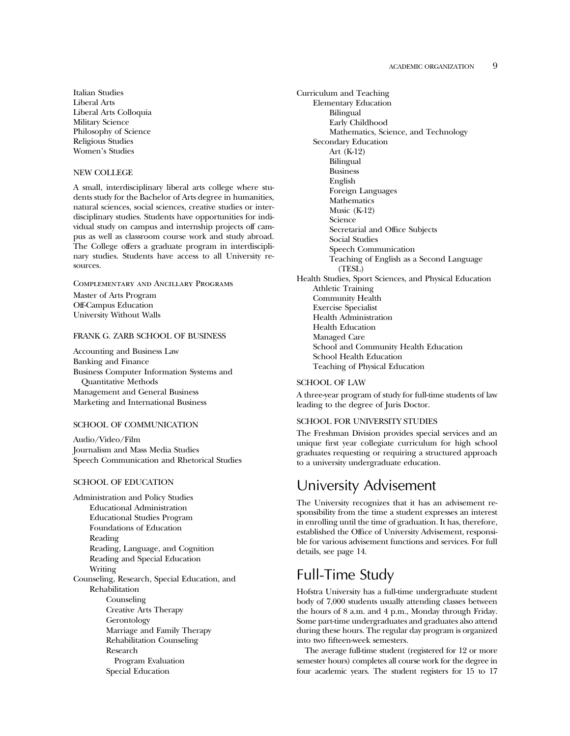Italian Studies Liberal Arts Liberal Arts Colloquia Military Science Philosophy of Science Religious Studies Women's Studies

#### NEW COLLEGE

A small, interdisciplinary liberal arts college where students study for the Bachelor of Arts degree in humanities, natural sciences, social sciences, creative studies or interdisciplinary studies. Students have opportunities for individual study on campus and internship projects off campus as well as classroom course work and study abroad. The College offers a graduate program in interdisciplinary studies. Students have access to all University resources.

Complementary and Ancillary Programs

Master of Arts Program Off-Campus Education University Without Walls

#### FRANK G. ZARB SCHOOL OF BUSINESS

Accounting and Business Law Banking and Finance Business Computer Information Systems and Quantitative Methods Management and General Business Marketing and International Business

#### SCHOOL OF COMMUNICATION

Audio/Video/Film Journalism and Mass Media Studies Speech Communication and Rhetorical Studies

#### SCHOOL OF EDUCATION

Administration and Policy Studies Educational Administration Educational Studies Program Foundations of Education Reading Reading, Language, and Cognition Reading and Special Education Writing Counseling, Research, Special Education, and Rehabilitation Counseling Creative Arts Therapy Gerontology Marriage and Family Therapy Rehabilitation Counseling Research Program Evaluation Special Education

Curriculum and Teaching Elementary Education Bilingual Early Childhood Mathematics, Science, and Technology Secondary Education Art (K-12) Bilingual Business English Foreign Languages Mathematics Music (K-12) Science Secretarial and Office Subjects Social Studies Speech Communication Teaching of English as a Second Language (TESL) Health Studies, Sport Sciences, and Physical Education Athletic Training Community Health Exercise Specialist Health Administration Health Education Managed Care School and Community Health Education School Health Education Teaching of Physical Education

#### SCHOOL OF LAW

A three-year program of study for full-time students of law leading to the degree of Juris Doctor.

#### SCHOOL FOR UNIVERSITY STUDIES

The Freshman Division provides special services and an unique first year collegiate curriculum for high school graduates requesting or requiring a structured approach to a university undergraduate education.

### University Advisement

The University recognizes that it has an advisement responsibility from the time a student expresses an interest in enrolling until the time of graduation. It has, therefore, established the Office of University Advisement, responsible for various advisement functions and services. For full details, see page 14.

## Full-Time Study

Hofstra University has a full-time undergraduate student body of 7,000 students usually attending classes between the hours of 8 a.m. and 4 p.m., Monday through Friday. Some part-time undergraduates and graduates also attend during these hours. The regular day program is organized into two fifteen-week semesters.

The average full-time student (registered for 12 or more semester hours) completes all course work for the degree in four academic years. The student registers for 15 to 17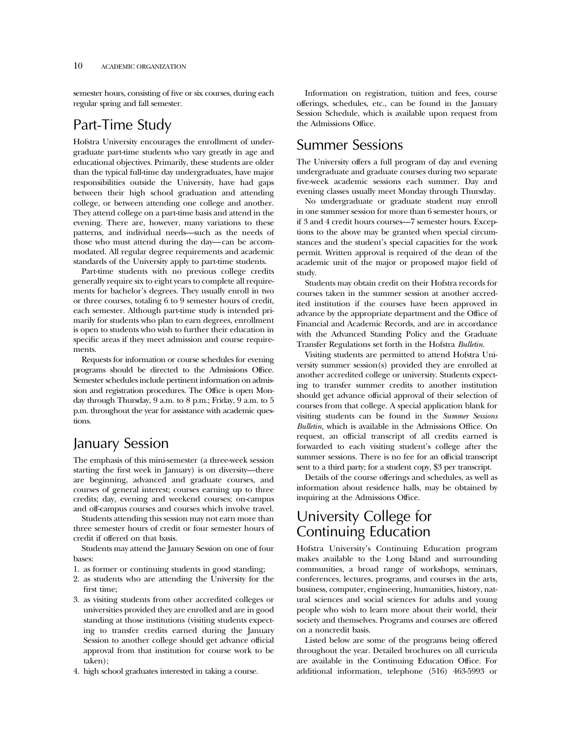semester hours, consisting of five or six courses, during each regular spring and fall semester.

### Part-Time Study

Hofstra University encourages the enrollment of undergraduate part-time students who vary greatly in age and educational objectives. Primarily, these students are older than the typical full-time day undergraduates, have major responsibilities outside the University, have had gaps between their high school graduation and attending college, or between attending one college and another. They attend college on a part-time basis and attend in the evening. There are, however, many variations to these patterns, and individual needs—such as the needs of those who must attend during the day—can be accommodated. All regular degree requirements and academic standards of the University apply to part-time students.

Part-time students with no previous college credits generally require six to eight years to complete all requirements for bachelor's degrees. They usually enroll in two or three courses, totaling 6 to 9 semester hours of credit, each semester. Although part-time study is intended primarily for students who plan to earn degrees, enrollment is open to students who wish to further their education in specific areas if they meet admission and course requirements.

Requests for information or course schedules for evening programs should be directed to the Admissions Office. Semester schedules include pertinent information on admission and registration procedures. The Office is open Monday through Thursday, 9 a.m. to 8 p.m.; Friday, 9 a.m. to 5 p.m. throughout the year for assistance with academic questions.

## January Session

The emphasis of this mini-semester (a three-week session starting the first week in January) is on diversity—there are beginning, advanced and graduate courses, and courses of general interest; courses earning up to three credits; day, evening and weekend courses; on-campus and off-campus courses and courses which involve travel.

Students attending this session may not earn more than three semester hours of credit or four semester hours of credit if offered on that basis.

Students may attend the January Session on one of four bases:

- 1. as former or continuing students in good standing;
- 2. as students who are attending the University for the first time;
- 3. as visiting students from other accredited colleges or universities provided they are enrolled and are in good standing at those institutions (visiting students expecting to transfer credits earned during the January Session to another college should get advance official approval from that institution for course work to be taken);
- 4. high school graduates interested in taking a course.

Information on registration, tuition and fees, course offerings, schedules, etc., can be found in the January Session Schedule, which is available upon request from the Admissions Office.

### Summer Sessions

The University offers a full program of day and evening undergraduate and graduate courses during two separate five-week academic sessions each summer. Day and evening classes usually meet Monday through Thursday.

No undergraduate or graduate student may enroll in one summer session for more than 6 semester hours, or if 3 and 4 credit hours courses—7 semester hours. Exceptions to the above may be granted when special circumstances and the student's special capacities for the work permit. Written approval is required of the dean of the academic unit of the major or proposed major field of study.

Students may obtain credit on their Hofstra records for courses taken in the summer session at another accredited institution if the courses have been approved in advance by the appropriate department and the Office of Financial and Academic Records, and are in accordance with the Advanced Standing Policy and the Graduate Transfer Regulations set forth in the Hofstra *Bulletin.*

Visiting students are permitted to attend Hofstra University summer session(s) provided they are enrolled at another accredited college or university. Students expecting to transfer summer credits to another institution should get advance official approval of their selection of courses from that college. A special application blank for visiting students can be found in the *Summer Sessions Bulletin,* which is available in the Admissions Office. On request, an official transcript of all credits earned is forwarded to each visiting student's college after the summer sessions. There is no fee for an official transcript sent to a third party; for a student copy, \$3 per transcript.

Details of the course offerings and schedules, as well as information about residence halls, may be obtained by inquiring at the Admissions Office.

# University College for Continuing Education

Hofstra University's Continuing Education program makes available to the Long Island and surrounding communities, a broad range of workshops, seminars, conferences, lectures, programs, and courses in the arts, business, computer, engineering, humanities, history, natural sciences and social sciences for adults and young people who wish to learn more about their world, their society and themselves. Programs and courses are offered on a noncredit basis.

Listed below are some of the programs being offered throughout the year. Detailed brochures on all curricula are available in the Continuing Education Office. For additional information, telephone (516) 463-5993 or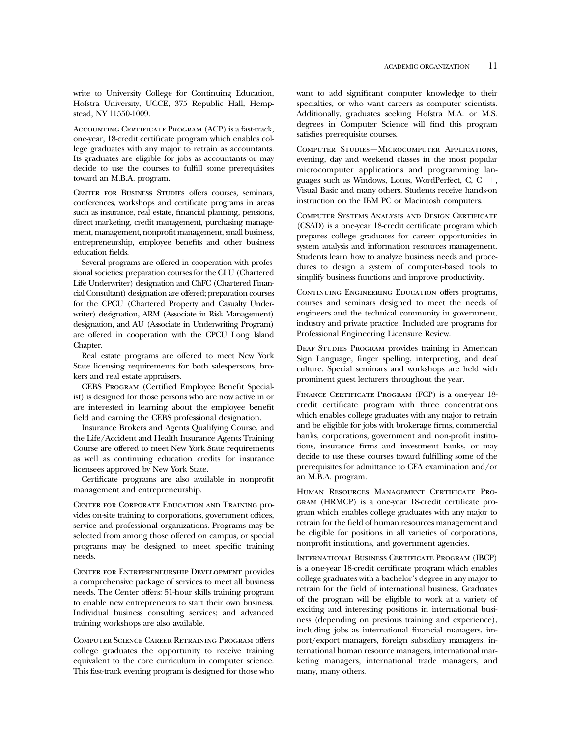write to University College for Continuing Education, Hofstra University, UCCE, 375 Republic Hall, Hempstead, NY 11550-1009.

Accounting Certificate Program (ACP) is a fast-track, one-year, 18-credit certificate program which enables college graduates with any major to retrain as accountants. Its graduates are eligible for jobs as accountants or may decide to use the courses to fulfill some prerequisites toward an M.B.A. program.

Center for Business Studies offers courses, seminars, conferences, workshops and certificate programs in areas such as insurance, real estate, financial planning, pensions, direct marketing, credit management, purchasing management, management, nonprofit management, small business, entrepreneurship, employee benefits and other business education fields.

Several programs are offered in cooperation with professional societies: preparation courses for the CLU (Chartered Life Underwriter) designation and ChFC (Chartered Financial Consultant) designation are offered; preparation courses for the CPCU (Chartered Property and Casualty Underwriter) designation, ARM (Associate in Risk Management) designation, and AU (Associate in Underwriting Program) are offered in cooperation with the CPCU Long Island Chapter.

Real estate programs are offered to meet New York State licensing requirements for both salespersons, brokers and real estate appraisers.

CEBS Program (Certified Employee Benefit Specialist) is designed for those persons who are now active in or are interested in learning about the employee benefit field and earning the CEBS professional designation.

Insurance Brokers and Agents Qualifying Course, and the Life/Accident and Health Insurance Agents Training Course are offered to meet New York State requirements as well as continuing education credits for insurance licensees approved by New York State.

Certificate programs are also available in nonprofit management and entrepreneurship.

Center for Corporate Education and Training provides on-site training to corporations, government offices, service and professional organizations. Programs may be selected from among those offered on campus, or special programs may be designed to meet specific training needs.

Center for Entrepreneurship Development provides a comprehensive package of services to meet all business needs. The Center offers: 51-hour skills training program to enable new entrepreneurs to start their own business. Individual business consulting services; and advanced training workshops are also available.

Computer Science Career Retraining Program offers college graduates the opportunity to receive training equivalent to the core curriculum in computer science. This fast-track evening program is designed for those who want to add significant computer knowledge to their specialties, or who want careers as computer scientists. Additionally, graduates seeking Hofstra M.A. or M.S. degrees in Computer Science will find this program satisfies prerequisite courses.

Computer Studies—Microcomputer Applications, evening, day and weekend classes in the most popular microcomputer applications and programming languages such as Windows, Lotus, WordPerfect, C,  $C_{1}$ , Visual Basic and many others. Students receive hands-on instruction on the IBM PC or Macintosh computers.

Computer Systems Analysis and Design Certificate (CSAD) is a one-year 18-credit certificate program which prepares college graduates for career opportunities in system analysis and information resources management. Students learn how to analyze business needs and procedures to design a system of computer-based tools to simplify business functions and improve productivity.

CONTINUING ENGINEERING EDUCATION offers programs, courses and seminars designed to meet the needs of engineers and the technical community in government, industry and private practice. Included are programs for Professional Engineering Licensure Review.

DEAF STUDIES PROGRAM provides training in American Sign Language, finger spelling, interpreting, and deaf culture. Special seminars and workshops are held with prominent guest lecturers throughout the year.

Finance Certificate Program (FCP) is a one-year 18 credit certificate program with three concentrations which enables college graduates with any major to retrain and be eligible for jobs with brokerage firms, commercial banks, corporations, government and non-profit institutions, insurance firms and investment banks, or may decide to use these courses toward fulfilling some of the prerequisites for admittance to CFA examination and/or an M.B.A. program.

Human Resources Management Certificate Program (HRMCP) is a one-year 18-credit certificate program which enables college graduates with any major to retrain for the field of human resources management and be eligible for positions in all varieties of corporations, nonprofit institutions, and government agencies.

International Business Certificate Program (IBCP) is a one-year 18-credit certificate program which enables college graduates with a bachelor's degree in any major to retrain for the field of international business. Graduates of the program will be eligible to work at a variety of exciting and interesting positions in international business (depending on previous training and experience), including jobs as international financial managers, import/export managers, foreign subsidiary managers, international human resource managers, international marketing managers, international trade managers, and many, many others.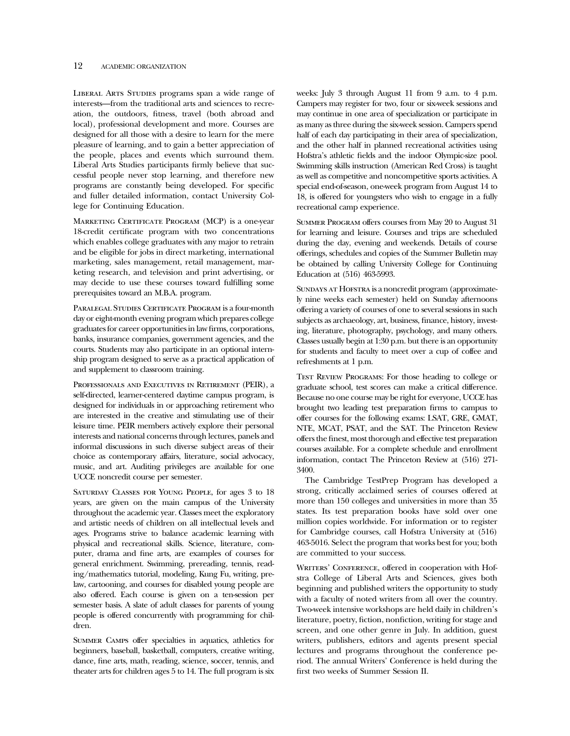#### 12 ACADEMIC ORGANIZATION

LIBERAL ARTS STUDIES programs span a wide range of interests—from the traditional arts and sciences to recreation, the outdoors, fitness, travel (both abroad and local), professional development and more. Courses are designed for all those with a desire to learn for the mere pleasure of learning, and to gain a better appreciation of the people, places and events which surround them. Liberal Arts Studies participants firmly believe that successful people never stop learning, and therefore new programs are constantly being developed. For specific and fuller detailed information, contact University College for Continuing Education.

Marketing Certificate Program (MCP) is a one-year 18-credit certificate program with two concentrations which enables college graduates with any major to retrain and be eligible for jobs in direct marketing, international marketing, sales management, retail management, marketing research, and television and print advertising, or may decide to use these courses toward fulfilling some prerequisites toward an M.B.A. program.

PARALEGAL STUDIES CERTIFICATE PROGRAM is a four-month day or eight-month evening program which prepares college graduates for career opportunities in law firms, corporations, banks, insurance companies, government agencies, and the courts. Students may also participate in an optional internship program designed to serve as a practical application of and supplement to classroom training.

Professionals and Executives in Retirement (PEIR), a self-directed, learner-centered daytime campus program, is designed for individuals in or approaching retirement who are interested in the creative and stimulating use of their leisure time. PEIR members actively explore their personal interests and national concerns through lectures, panels and informal discussions in such diverse subject areas of their choice as contemporary affairs, literature, social advocacy, music, and art. Auditing privileges are available for one UCCE noncredit course per semester.

Saturday Classes for Young People, for ages 3 to 18 years, are given on the main campus of the University throughout the academic year. Classes meet the exploratory and artistic needs of children on all intellectual levels and ages. Programs strive to balance academic learning with physical and recreational skills. Science, literature, computer, drama and fine arts, are examples of courses for general enrichment. Swimming, prereading, tennis, reading/mathematics tutorial, modeling, Kung Fu, writing, prelaw, cartooning, and courses for disabled young people are also offered. Each course is given on a ten-session per semester basis. A slate of adult classes for parents of young people is offered concurrently with programming for children.

Summer Camps offer specialties in aquatics, athletics for beginners, baseball, basketball, computers, creative writing, dance, fine arts, math, reading, science, soccer, tennis, and theater arts for children ages 5 to 14. The full program is six weeks: July 3 through August 11 from 9 a.m. to 4 p.m. Campers may register for two, four or six-week sessions and may continue in one area of specialization or participate in as many as three during the six-week session. Campers spend half of each day participating in their area of specialization, and the other half in planned recreational activities using Hofstra's athletic fields and the indoor Olympic-size pool. Swimming skills instruction (American Red Cross) is taught as well as competitive and noncompetitive sports activities. A special end-of-season, one-week program from August 14 to 18, is offered for youngsters who wish to engage in a fully recreational camp experience.

Summer Program offers courses from May 20 to August 31 for learning and leisure. Courses and trips are scheduled during the day, evening and weekends. Details of course offerings, schedules and copies of the Summer Bulletin may be obtained by calling University College for Continuing Education at (516) 463-5993.

SUNDAYS AT HOFSTRA is a noncredit program (approximately nine weeks each semester) held on Sunday afternoons offering a variety of courses of one to several sessions in such subjects as archaeology, art, business, finance, history, investing, literature, photography, psychology, and many others. Classes usually begin at 1:30 p.m. but there is an opportunity for students and faculty to meet over a cup of coffee and refreshments at 1 p.m.

Test Review Programs: For those heading to college or graduate school, test scores can make a critical difference. Because no one course may be right for everyone, UCCE has brought two leading test preparation firms to campus to offer courses for the following exams: LSAT, GRE, GMAT, NTE, MCAT, PSAT, and the SAT. The Princeton Review offers the finest, most thorough and effective test preparation courses available. For a complete schedule and enrollment information, contact The Princeton Review at (516) 271- 3400.

The Cambridge TestPrep Program has developed a strong, critically acclaimed series of courses offered at more than 150 colleges and universities in more than 35 states. Its test preparation books have sold over one million copies worldwide. For information or to register for Cambridge courses, call Hofstra University at (516) 463-5016. Select the program that works best for you; both are committed to your success.

WRITERS' CONFERENCE, offered in cooperation with Hofstra College of Liberal Arts and Sciences, gives both beginning and published writers the opportunity to study with a faculty of noted writers from all over the country. Two-week intensive workshops are held daily in children's literature, poetry, fiction, nonfiction, writing for stage and screen, and one other genre in July. In addition, guest writers, publishers, editors and agents present special lectures and programs throughout the conference period. The annual Writers' Conference is held during the first two weeks of Summer Session II.